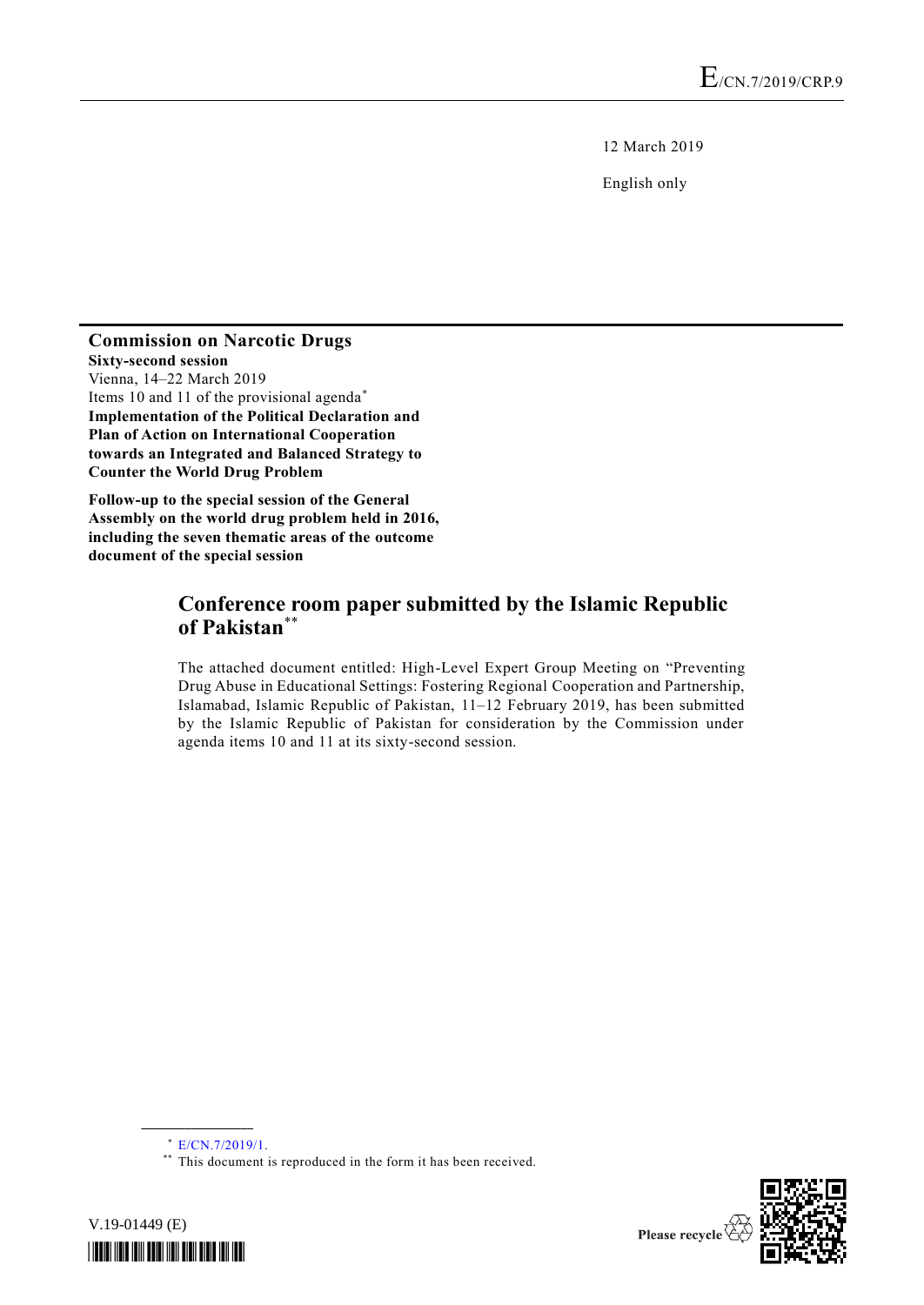12 March 2019

English only

#### **Commission on Narcotic Drugs Sixty-second session** Vienna, 14–22 March 2019 Items 10 and 11 of the provisional agenda\* **Implementation of the Political Declaration and Plan of Action on International Cooperation towards an Integrated and Balanced Strategy to Counter the World Drug Problem**

**Follow-up to the special session of the General Assembly on the world drug problem held in 2016, including the seven thematic areas of the outcome document of the special session**

# **Conference room paper submitted by the Islamic Republic of Pakistan**\*\*

The attached document entitled: High-Level Expert Group Meeting on "Preventing Drug Abuse in Educational Settings: Fostering Regional Cooperation and Partnership, Islamabad, Islamic Republic of Pakistan, 11–12 February 2019, has been submitted by the Islamic Republic of Pakistan for consideration by the Commission under agenda items 10 and 11 at its sixty-second session.

**\_\_\_\_\_\_\_\_\_\_\_\_\_\_\_\_\_\_**

<sup>\*\*</sup> This document is reproduced in the form it has been received.





<sup>\*</sup> [E/CN.7/2019/1.](http://undocs.org/E/CN.7/2019/1)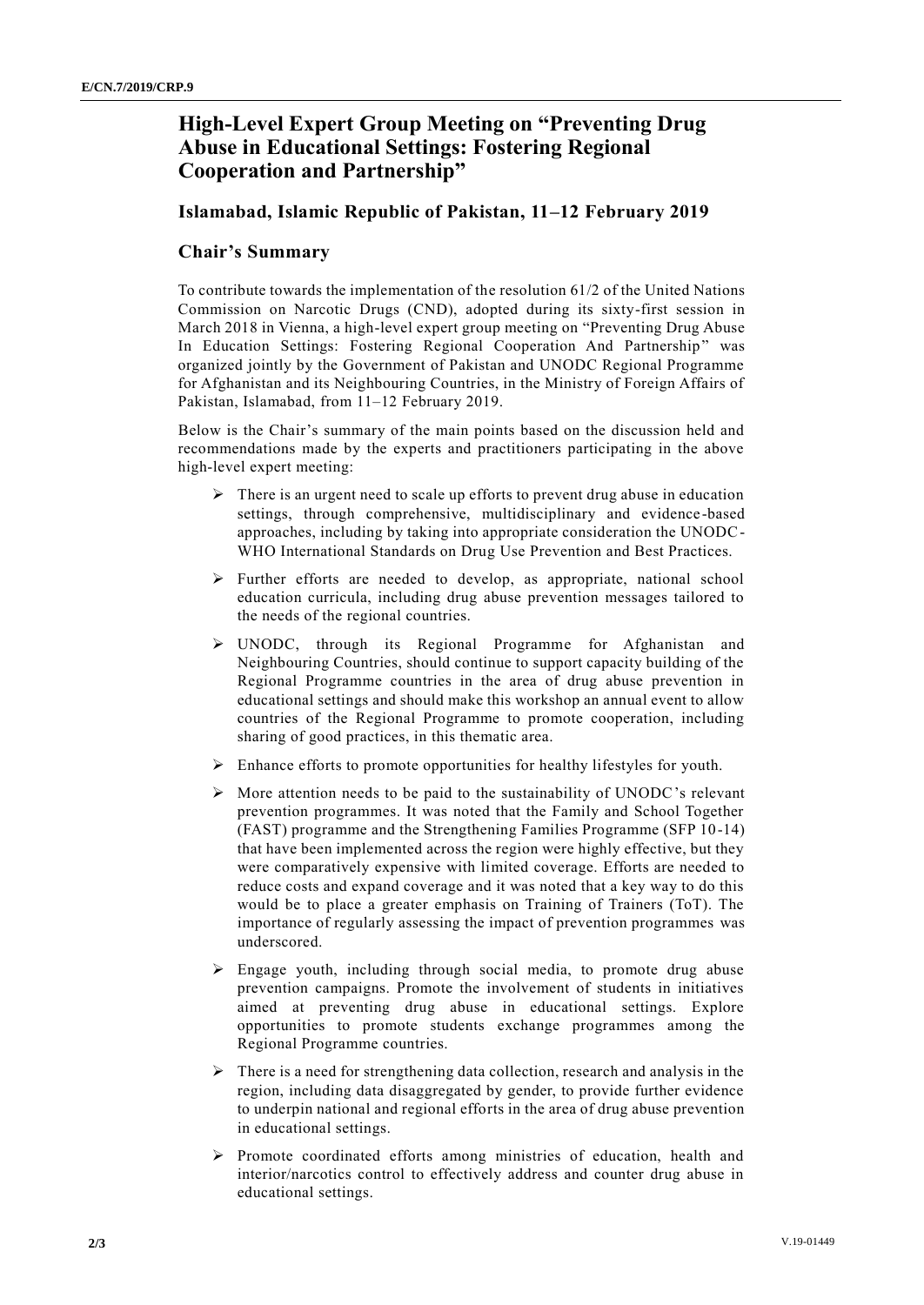# **High-Level Expert Group Meeting on "Preventing Drug Abuse in Educational Settings: Fostering Regional Cooperation and Partnership"**

### **Islamabad, Islamic Republic of Pakistan, 11–12 February 2019**

### **Chair's Summary**

To contribute towards the implementation of the resolution 61/2 of the United Nations Commission on Narcotic Drugs (CND), adopted during its sixty-first session in March 2018 in Vienna, a high-level expert group meeting on "Preventing Drug Abuse In Education Settings: Fostering Regional Cooperation And Partnership" was organized jointly by the Government of Pakistan and UNODC Regional Programme for Afghanistan and its Neighbouring Countries, in the Ministry of Foreign Affairs of Pakistan, Islamabad, from 11–12 February 2019.

Below is the Chair's summary of the main points based on the discussion held and recommendations made by the experts and practitioners participating in the above high-level expert meeting:

- $\triangleright$  There is an urgent need to scale up efforts to prevent drug abuse in education settings, through comprehensive, multidisciplinary and evidence -based approaches, including by taking into appropriate consideration the UNODC-WHO International Standards on Drug Use Prevention and Best Practices.
- ➢ Further efforts are needed to develop, as appropriate, national school education curricula, including drug abuse prevention messages tailored to the needs of the regional countries.
- ➢ UNODC, through its Regional Programme for Afghanistan and Neighbouring Countries, should continue to support capacity building of the Regional Programme countries in the area of drug abuse prevention in educational settings and should make this workshop an annual event to allow countries of the Regional Programme to promote cooperation, including sharing of good practices, in this thematic area.
- ➢ Enhance efforts to promote opportunities for healthy lifestyles for youth.
- ➢ More attention needs to be paid to the sustainability of UNODC's relevant prevention programmes. It was noted that the Family and School Together (FAST) programme and the Strengthening Families Programme (SFP 10-14) that have been implemented across the region were highly effective, but they were comparatively expensive with limited coverage. Efforts are needed to reduce costs and expand coverage and it was noted that a key way to do this would be to place a greater emphasis on Training of Trainers (ToT). The importance of regularly assessing the impact of prevention programmes was underscored.
- ➢ Engage youth, including through social media, to promote drug abuse prevention campaigns. Promote the involvement of students in initiatives aimed at preventing drug abuse in educational settings. Explore opportunities to promote students exchange programmes among the Regional Programme countries.
- $\triangleright$  There is a need for strengthening data collection, research and analysis in the region, including data disaggregated by gender, to provide further evidence to underpin national and regional efforts in the area of drug abuse prevention in educational settings.
- ➢ Promote coordinated efforts among ministries of education, health and interior/narcotics control to effectively address and counter drug abuse in educational settings.